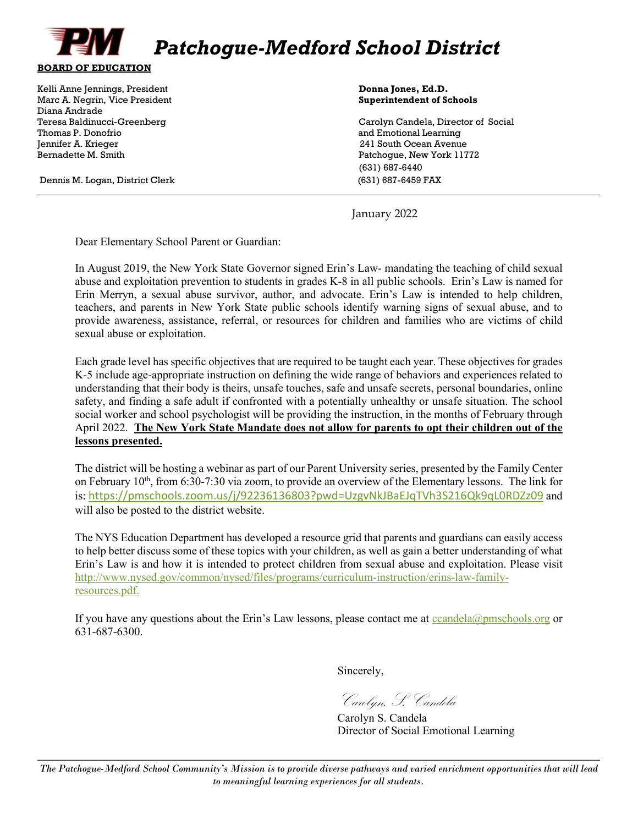

Kelli Anne Jennings, President **Donna Jones, Ed.D. Donna Jones, Ed.D. Donna Jones, Ed.D.** Marc A. Negrin, Vice President **Superintendent of Schools** Diana Andrade Thomas P. Donofrio and Emotional Learning Jennifer A. Krieger 241 South Ocean Avenue Bernadette M. Smith Patchogue, New York 11772

Dennis M. Logan, District Clerk (631) 687-6459 FAX

 $\overline{a}$ 

Carolyn Candela, Director of Social (631) 687-6440

January 2022

Dear Elementary School Parent or Guardian:

In August 2019, the New York State Governor signed Erin's Law- mandating the teaching of child sexual abuse and exploitation prevention to students in grades K-8 in all public schools. Erin's Law is named for Erin Merryn, a sexual abuse survivor, author, and advocate. Erin's Law is intended to help children, teachers, and parents in New York State public schools identify warning signs of sexual abuse, and to provide awareness, assistance, referral, or resources for children and families who are victims of child sexual abuse or exploitation.

Each grade level has specific objectives that are required to be taught each year. These objectives for grades K-5 include age-appropriate instruction on defining the wide range of behaviors and experiences related to understanding that their body is theirs, unsafe touches, safe and unsafe secrets, personal boundaries, online safety, and finding a safe adult if confronted with a potentially unhealthy or unsafe situation. The school social worker and school psychologist will be providing the instruction, in the months of February through April 2022. **The New York State Mandate does not allow for parents to opt their children out of the lessons presented.**

The district will be hosting a webinar as part of our Parent University series, presented by the Family Center on February 10th, from 6:30-7:30 via zoom, to provide an overview of the Elementary lessons. The link for is: <https://pmschools.zoom.us/j/92236136803?pwd=UzgvNkJBaEJqTVh3S216Qk9qL0RDZz09> and will also be posted to the district website.

The NYS Education Department has developed a resource grid that parents and guardians can easily access to help better discuss some of these topics with your children, as well as gain a better understanding of what Erin's Law is and how it is intended to protect children from sexual abuse and exploitation. Please visit [http://www.nysed.gov/common/nysed/files/programs/curriculum-instruction/erins-law-family](http://www.nysed.gov/common/nysed/files/programs/curriculum-instruction/erins-law-family-resources.pdf)[resources.pdf.](http://www.nysed.gov/common/nysed/files/programs/curriculum-instruction/erins-law-family-resources.pdf)

If you have any questions about the Erin's Law lessons, please contact me at  $c$ candela $@p$ mschools.org or 631-687-6300.

Sincerely,

Carolyn. S. Candela

 Carolyn S. Candela Director of Social Emotional Learning